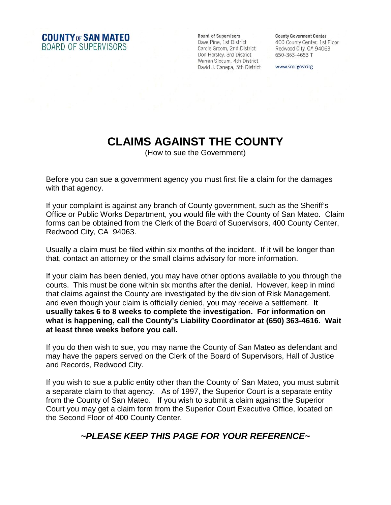**COUNTY OF SAN MATEO** BOARD OF SUPERVISORS

**Board of Supervisors** Dave Pine, 1st District Carole Groom, 2nd District Don Horsley, 3rd District Don Horsley, 3rd District<br>Warren Slocum, 4th District<br>David J. Canopa, 5th District David J. Canepa, 5th District

**County Goverment Center** 400 County Center, 1st Floor Redwood City, CA 94063 650-363-4653 T

www.smcgov.org

## **CLAIMS AGAINST THE COUNTY**

(How to sue the Government)

Before you can sue a government agency you must first file a claim for the damages with that agency.

If your complaint is against any branch of County government, such as the Sheriff's Office or Public Works Department, you would file with the County of San Mateo. Claim forms can be obtained from the Clerk of the Board of Supervisors, 400 County Center, Redwood City, CA 94063.

Usually a claim must be filed within six months of the incident. If it will be longer than that, contact an attorney or the small claims advisory for more information.

If your claim has been denied, you may have other options available to you through the courts. This must be done within six months after the denial. However, keep in mind that claims against the County are investigated by the division of Risk Management, and even though your claim is officially denied, you may receive a settlement. **It usually takes 6 to 8 weeks to complete the investigation. For information on what is happening, call the County's Liability Coordinator at (650) 363-4616. Wait at least three weeks before you call.**

If you do then wish to sue, you may name the County of San Mateo as defendant and may have the papers served on the Clerk of the Board of Supervisors, Hall of Justice and Records, Redwood City.

If you wish to sue a public entity other than the County of San Mateo, you must submit a separate claim to that agency. As of 1997, the Superior Court is a separate entity from the County of San Mateo. If you wish to submit a claim against the Superior Court you may get a claim form from the Superior Court Executive Office, located on the Second Floor of 400 County Center.

## *~PLEASE KEEP THIS PAGE FOR YOUR REFERENCE~*